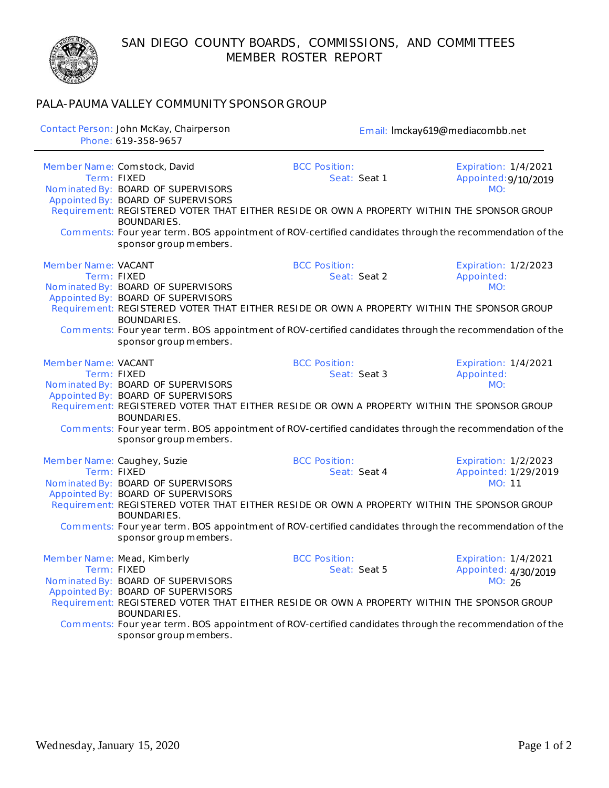SAN DIEGO COUNTY BOARDS, COMMISSIONS, AND COMMITTEES MEMBER ROSTER REPORT



## PALA-PAUMA VALLEY COMMUNITY SPONSOR GROUP

|                     | Contact Person: John McKay, Chairperson<br>Phone: 619-358-9657                                                                                                         | Email: Imckay619@mediacombb.net                                                                                                                                                                                                                |                                                               |
|---------------------|------------------------------------------------------------------------------------------------------------------------------------------------------------------------|------------------------------------------------------------------------------------------------------------------------------------------------------------------------------------------------------------------------------------------------|---------------------------------------------------------------|
|                     | Member Name: Comstock, David<br>Term: FIXED<br>Nominated By: BOARD OF SUPERVISORS<br>Appointed By: BOARD OF SUPERVISORS<br>BOUNDARIES.                                 | <b>BCC Position:</b><br>Seat: Seat 1<br>Requirement: REGISTERED VOTER THAT EITHER RESIDE OR OWN A PROPERTY WITHIN THE SPONSOR GROUP<br>Comments: Four year term. BOS appointment of ROV-certified candidates through the recommendation of the | <b>Expiration: 1/4/2021</b><br>Appointed: 9/10/2019<br>MO:    |
| Member Name: VACANT | sponsor group members.<br>Term: FIXED<br>Nominated By: BOARD OF SUPERVISORS<br>Appointed By: BOARD OF SUPERVISORS<br>BOUNDARIES.<br>sponsor group members.             | <b>BCC Position:</b><br>Seat: Seat 2<br>Requirement: REGISTERED VOTER THAT EITHER RESIDE OR OWN A PROPERTY WITHIN THE SPONSOR GROUP<br>Comments: Four year term. BOS appointment of ROV-certified candidates through the recommendation of the | Expiration: 1/2/2023<br>Appointed:<br>MO:                     |
| Member Name: VACANT | Term: FIXED<br>Nominated By: BOARD OF SUPERVISORS<br>Appointed By: BOARD OF SUPERVISORS<br>BOUNDARIES.<br>sponsor group members.                                       | <b>BCC Position:</b><br>Seat: Seat 3<br>Requirement: REGISTERED VOTER THAT EITHER RESIDE OR OWN A PROPERTY WITHIN THE SPONSOR GROUP<br>Comments: Four year term. BOS appointment of ROV-certified candidates through the recommendation of the | <b>Expiration: 1/4/2021</b><br>Appointed:<br>MO:              |
|                     | Member Name: Caughey, Suzie<br>Term: FIXED<br>Nominated By: BOARD OF SUPERVISORS<br>Appointed By: BOARD OF SUPERVISORS<br><b>BOUNDARIES.</b><br>sponsor group members. | <b>BCC Position:</b><br>Seat: Seat 4<br>Requirement: REGISTERED VOTER THAT EITHER RESIDE OR OWN A PROPERTY WITHIN THE SPONSOR GROUP<br>Comments: Four year term. BOS appointment of ROV-certified candidates through the recommendation of the | Expiration: 1/2/2023<br>Appointed: 1/29/2019<br>MO: 11        |
|                     | Member Name: Mead, Kimberly<br>Term: FIXED<br>Nominated By: BOARD OF SUPERVISORS<br>Appointed By: BOARD OF SUPERVISORS<br>BOUNDARIES.<br>sponsor group members.        | <b>BCC Position:</b><br>Seat: Seat 5<br>Requirement: REGISTERED VOTER THAT EITHER RESIDE OR OWN A PROPERTY WITHIN THE SPONSOR GROUP<br>Comments: Four year term. BOS appointment of ROV-certified candidates through the recommendation of the | <b>Expiration: 1/4/2021</b><br>Appointed: 4/30/2019<br>MO: 26 |